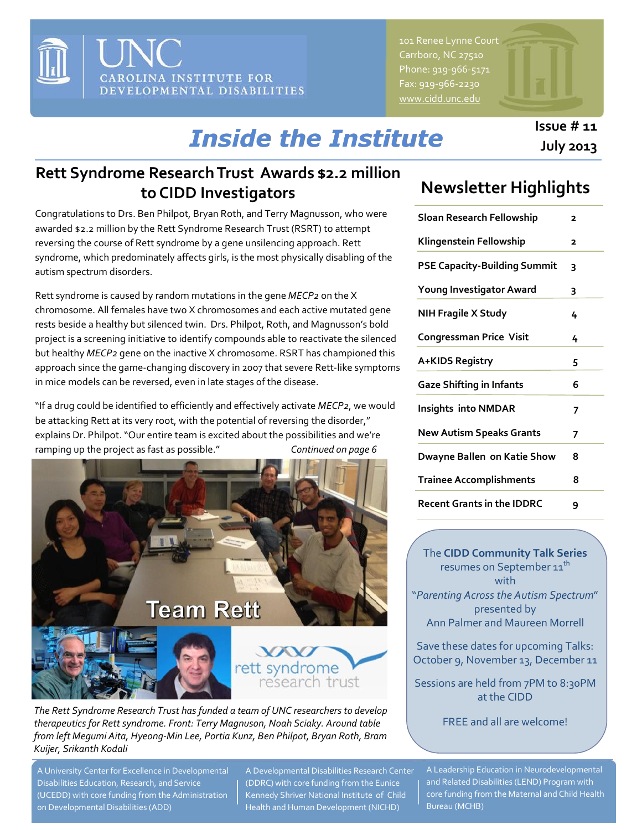

101 Renee Lynne Court Carrboro, NC 27510 Phone: 919-966-5171 Fax: 919-966-2230 [www.cidd.unc.edu](http://www.cidd.unc.edu/)

#### **Issue # 11 July 2013**

# *Inside the Institute*

#### **Rett Syndrome Research Trust Awards \$2.2 million to CIDD Investigators**

Congratulations to Drs. Ben Philpot, Bryan Roth, and Terry Magnusson, who were awarded \$2.2 million by the Rett Syndrome Research Trust (RSRT) to attempt reversing the course of Rett syndrome by a gene unsilencing approach. Rett syndrome, which predominately affects girls, is the most physically disabling of the autism spectrum disorders.

Rett syndrome is caused by random mutations in the gene *MECP2* on the X chromosome. All females have two X chromosomes and each active mutated gene rests beside a healthy but silenced twin. Drs. Philpot, Roth, and Magnusson's bold project is a screening initiative to identify compounds able to reactivate the silenced but healthy *MECP2* gene on the inactive X chromosome. RSRT has championed this approach since the game-changing discovery in 2007 that severe Rett-like symptoms in mice models can be reversed, even in late stages of the disease.

"If a drug could be identified to efficiently and effectively activate *MECP2*, we would be attacking Rett at its very root, with the potential of reversing the disorder," explains Dr. Philpot. "Our entire team is excited about the possibilities and we're ramping up the project as fast as possible." *Continued on page 6* 



*The Rett Syndrome Research Trust has funded a team of UNC researchers to develop therapeutics for Rett syndrome. Front: Terry Magnuson, Noah Sciaky. Around table from left Megumi Aita, Hyeong-Min Lee, Portia Kunz, Ben Philpot, Bryan Roth, Bram Kuijer, Srikanth Kodali*

A University Center for Excellence in Developmental Disabilities Education, Research, and Service (UCEDD) with core funding from the Administration on Developmental Disabilities (ADD)

A Developmental Disabilities Research Center (DDRC) with core funding from the Eunice Kennedy Shriver National Institute of Child Health and Human Development (NICHD)

# **Newsletter Highlights**

| <b>Sloan Research Fellowship</b>    | 2                       |
|-------------------------------------|-------------------------|
| Klingenstein Fellowship             | $\overline{\mathbf{2}}$ |
| <b>PSE Capacity-Building Summit</b> | 3                       |
| Young Investigator Award            | 3                       |
| <b>NIH Fragile X Study</b>          | 4                       |
| <b>Congressman Price Visit</b>      | 4                       |
| A+KIDS Registry                     | 5                       |
| <b>Gaze Shifting in Infants</b>     | 6                       |
| <b>Insights into NMDAR</b>          | 7                       |
| New Autism Speaks Grants            | 7                       |
| Dwayne Ballen on Katie Show         | 8                       |
| <b>Trainee Accomplishments</b>      | 8                       |
| <b>Recent Grants in the IDDRC</b>   | 9                       |

The **CIDD Community Talk Series**  resumes on September  $\mathsf{11}^\mathsf{th}$ with "*Parenting Across the Autism Spectrum*" presented by Ann Palmer and Maureen Morrell

Save these dates for upcoming Talks: October 9, November 13, December 11

Sessions are held from 7PM to 8:30PM at the CIDD

FREE and all are welcome!

A Leadership Education in Neurodevelopmental and Related Disabilities (LEND) Program with core funding from the Maternal and Child Health Bureau (MCHB)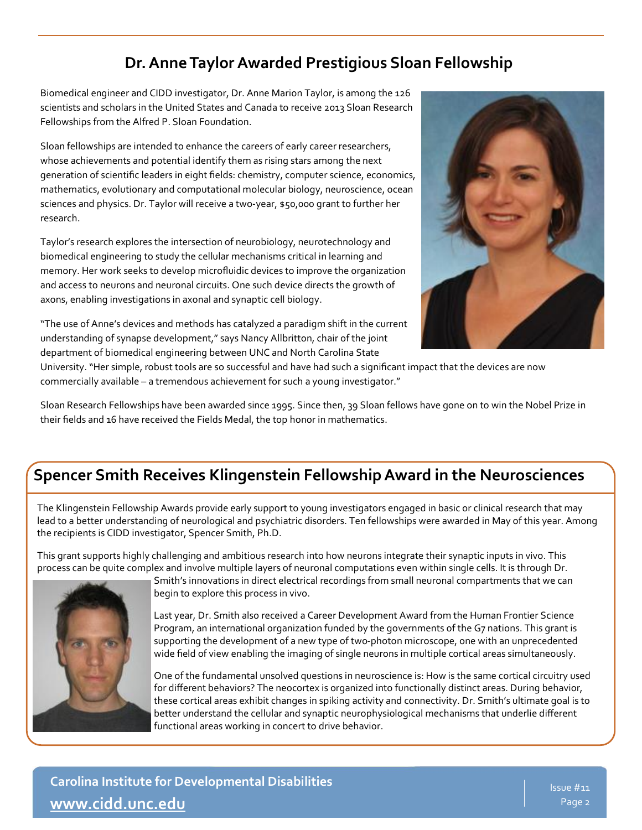#### **Dr. Anne Taylor Awarded Prestigious Sloan Fellowship**

Biomedical engineer and CIDD investigator, Dr. Anne Marion Taylor, is among the 126 scientists and scholars in the United States and Canada to receive 2013 Sloan Research Fellowships from the Alfred P. Sloan Foundation.

Sloan fellowships are intended to enhance the careers of early career researchers, whose achievements and potential identify them as rising stars among the next generation of scientific leaders in eight fields: chemistry, computer science, economics, mathematics, evolutionary and computational molecular biology, neuroscience, ocean sciences and physics. Dr. Taylor will receive a two-year, \$50,000 grant to further her research.

Taylor's research explores the intersection of neurobiology, neurotechnology and biomedical engineering to study the cellular mechanisms critical in learning and memory. Her work seeks to develop microfluidic devices to improve the organization and access to neurons and neuronal circuits. One such device directs the growth of axons, enabling investigations in axonal and synaptic cell biology.

"The use of Anne's devices and methods has catalyzed a paradigm shift in the current understanding of synapse development," says Nancy Allbritton, chair of the joint department of biomedical engineering between UNC and North Carolina State



University. "Her simple, robust tools are so successful and have had such a significant impact that the devices are now commercially available – a tremendous achievement for such a young investigator."

Sloan Research Fellowships have been awarded since 1995. Since then, 39 Sloan fellows have gone on to win the Nobel Prize in their fields and 16 have received the Fields Medal, the top honor in mathematics.

#### **Spencer Smith Receives Klingenstein Fellowship Award in the Neurosciences**

The Klingenstein Fellowship Awards provide early support to young investigators engaged in basic or clinical research that may lead to a better understanding of neurological and psychiatric disorders. Ten fellowships were awarded in May of this year. Among the recipients is CIDD investigator, Spencer Smith, Ph.D.

This grant supports highly challenging and ambitious research into how neurons integrate their synaptic inputs in vivo. This process can be quite complex and involve multiple layers of neuronal computations even within single cells. It is through Dr.



Smith's innovations in direct electrical recordings from small neuronal compartments that we can begin to explore this process in vivo.

Last year, Dr. Smith also received a Career Development Award from the Human Frontier Science Program, an international organization funded by the governments of the G7 nations. This grant is supporting the development of a new type of two-photon microscope, one with an unprecedented wide field of view enabling the imaging of single neurons in multiple cortical areas simultaneously.

One of the fundamental unsolved questions in neuroscience is: How is the same cortical circuitry used for different behaviors? The neocortex is organized into functionally distinct areas. During behavior, these cortical areas exhibit changes in spiking activity and connectivity. Dr. Smith's ultimate goal is to better understand the cellular and synaptic neurophysiological mechanisms that underlie different functional areas working in concert to drive behavior.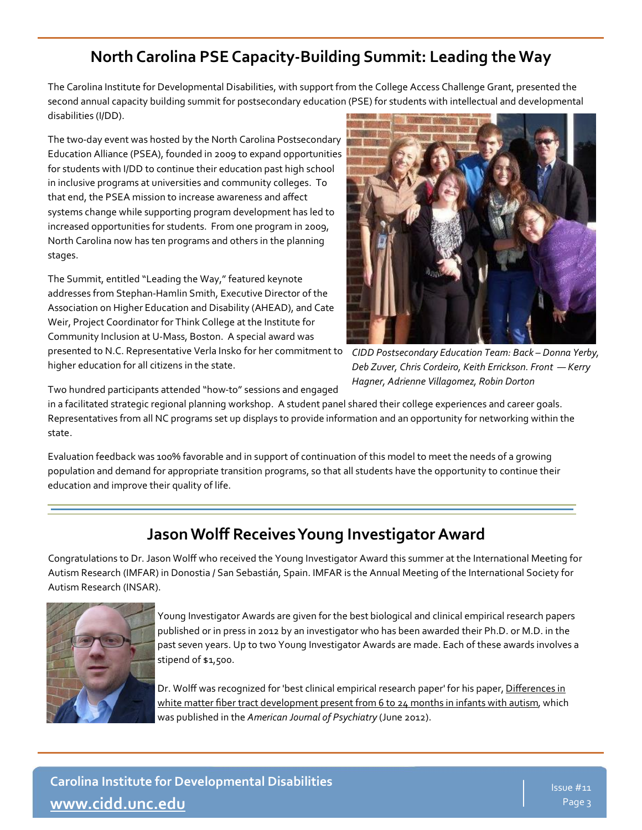### **North Carolina PSE Capacity-Building Summit: Leading the Way**

The Carolina Institute for Developmental Disabilities, with support from the College Access Challenge Grant, presented the second annual capacity building summit for postsecondary education (PSE) for students with intellectual and developmental disabilities (I/DD).

The two-day event was hosted by the North Carolina Postsecondary Education Alliance (PSEA), founded in 2009 to expand opportunities for students with I/DD to continue their education past high school in inclusive programs at universities and community colleges. To that end, the PSEA mission to increase awareness and affect systems change while supporting program development has led to increased opportunities for students. From one program in 2009, North Carolina now has ten programs and others in the planning stages.

The Summit, entitled "Leading the Way," featured keynote addresses from Stephan-Hamlin Smith, Executive Director of the Association on Higher Education and Disability (AHEAD), and Cate Weir, Project Coordinator for Think College at the Institute for Community Inclusion at U-Mass, Boston. A special award was presented to N.C. Representative Verla Insko for her commitment to higher education for all citizens in the state.



*CIDD Postsecondary Education Team: Back – Donna Yerby, Deb Zuver, Chris Cordeiro, Keith Errickson. Front — Kerry Hagner, Adrienne Villagomez, Robin Dorton*

Two hundred participants attended "how-to" sessions and engaged

in a facilitated strategic regional planning workshop. A student panel shared their college experiences and career goals. Representatives from all NC programs set up displays to provide information and an opportunity for networking within the state.

Evaluation feedback was 100% favorable and in support of continuation of this model to meet the needs of a growing population and demand for appropriate transition programs, so that all students have the opportunity to continue their education and improve their quality of life.

#### **Jason Wolff Receives Young Investigator Award**

Congratulations to Dr. Jason Wolff who received the Young Investigator Award this summer at the International Meeting for Autism Research (IMFAR) in Donostia / San Sebastián, Spain. IMFAR is the Annual Meeting of the International Society for Autism Research (INSAR).



Young Investigator Awards are given for the best biological and clinical empirical research papers published or in press in 2012 by an investigator who has been awarded their Ph.D. or M.D. in the past seven years. Up to two Young Investigator Awards are made. Each of these awards involves a stipend of \$1,500.

Dr. Wolff was recognized for 'best clinical empirical research paper' for his paper, [Differences in](http://www.ncbi.nlm.nih.gov/pubmed/22362397)  [white matter fiber tract development present from 6 to 24 months in infants with autism,](http://www.ncbi.nlm.nih.gov/pubmed/22362397) which was published in the *American Journal of Psychiatry* (June 2012).

**Carolina Institute for Developmental Disabilities [www.cidd.unc.edu](http://www.cidd.unc.edu/)**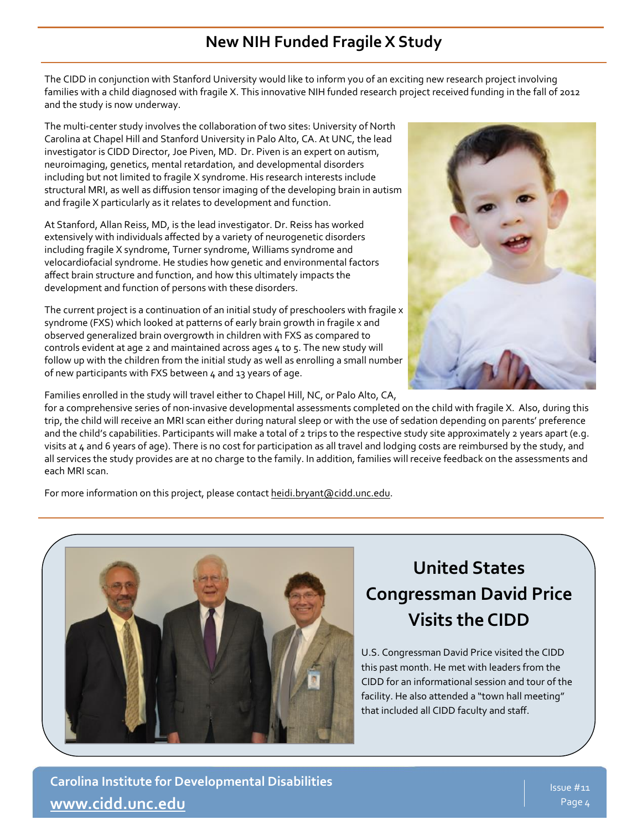#### **New NIH Funded Fragile X Study**

The CIDD in conjunction with Stanford University would like to inform you of an exciting new research project involving families with a child diagnosed with fragile X. This innovative NIH funded research project received funding in the fall of 2012 and the study is now underway.

The multi-center study involves the collaboration of two sites: University of North Carolina at Chapel Hill and Stanford University in Palo Alto, CA. At UNC, the lead investigator is CIDD Director, Joe Piven, MD. Dr. Piven is an expert on autism, neuroimaging, genetics, mental retardation, and developmental disorders including but not limited to fragile X syndrome. His research interests include structural MRI, as well as diffusion tensor imaging of the developing brain in autism and fragile X particularly as it relates to development and function.

At Stanford, Allan Reiss, MD, is the lead investigator. Dr. Reiss has worked extensively with individuals affected by a variety of neurogenetic disorders including fragile X syndrome, Turner syndrome, Williams syndrome and velocardiofacial syndrome. He studies how genetic and environmental factors affect brain structure and function, and how this ultimately impacts the development and function of persons with these disorders.

The current project is a continuation of an initial study of preschoolers with fragile x syndrome (FXS) which looked at patterns of early brain growth in fragile x and observed generalized brain overgrowth in children with FXS as compared to controls evident at age 2 and maintained across ages 4 to 5. The new study will follow up with the children from the initial study as well as enrolling a small number of new participants with FXS between 4 and 13 years of age.



Families enrolled in the study will travel either to Chapel Hill, NC, or Palo Alto, CA,

for a comprehensive series of non-invasive developmental assessments completed on the child with fragile X. Also, during this trip, the child will receive an MRI scan either during natural sleep or with the use of sedation depending on parents' preference and the child's capabilities. Participants will make a total of 2 trips to the respective study site approximately 2 years apart (e.g. visits at 4 and 6 years of age). There is no cost for participation as all travel and lodging costs are reimbursed by the study, and all services the study provides are at no charge to the family. In addition, families will receive feedback on the assessments and each MRI scan.

For more information on this project, please contact [heidi.bryant@cidd.unc.edu.](mailto:heidi.bryant@cidd.unc.edu)



# **United States Congressman David Price Visits the CIDD**

U.S. Congressman David Price visited the CIDD this past month. He met with leaders from the CIDD for an informational session and tour of the facility. He also attended a "town hall meeting" that included all CIDD faculty and staff.

**Carolina Institute for Developmental Disabilities [www.cidd.unc.edu](http://www.cidd.unc.edu/)**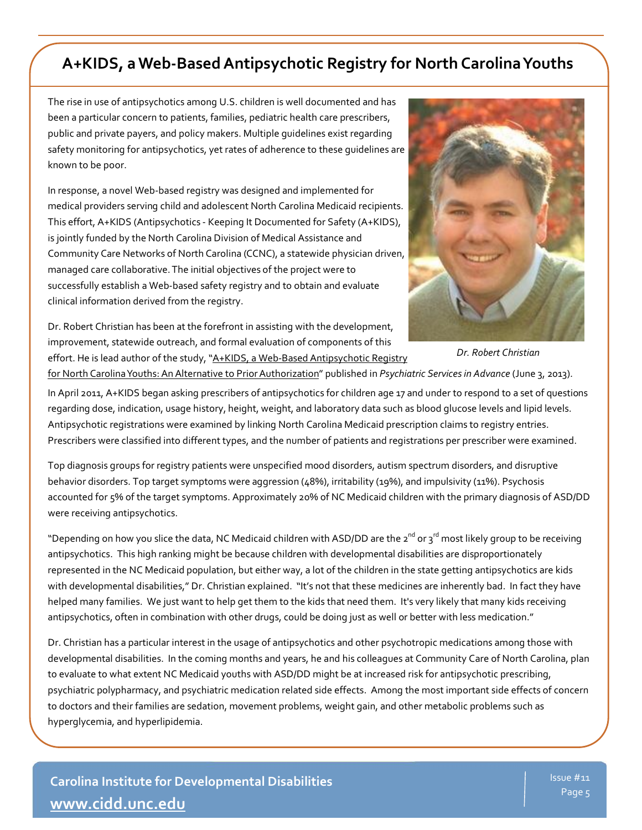#### **A+KIDS, a Web-Based Antipsychotic Registry for North Carolina Youths**

The rise in use of antipsychotics among U.S. children is well documented and has been a particular concern to patients, families, pediatric health care prescribers, public and private payers, and policy makers. Multiple guidelines exist regarding safety monitoring for antipsychotics, yet rates of adherence to these guidelines are known to be poor.

In response, a novel Web-based registry was designed and implemented for medical providers serving child and adolescent North Carolina Medicaid recipients. This effort, A+KIDS (Antipsychotics - Keeping It Documented for Safety (A+KIDS), is jointly funded by the North Carolina Division of Medical Assistance and Community Care Networks of North Carolina (CCNC), a statewide physician driven, managed care collaborative. The initial objectives of the project were to successfully establish a Web-based safety registry and to obtain and evaluate clinical information derived from the registry.

Dr. Robert Christian has been at the forefront in assisting with the development, improvement, statewide outreach, and formal evaluation of components of this effort. He is lead author of the study, "A+KIDS, a Web-Based Antipsychotic Registry



*Dr. Robert Christian* 

[for North Carolina Youths: An Alternative to Prior Authorization"](http://ps.psychiatryonline.org/Article.aspx?ArticleID=1693282) published in *Psychiatric Servicesin Advance* (June 3, 2013).

In April 2011, A+KIDS began asking prescribers of antipsychotics for children age 17 and under to respond to a set of questions regarding dose, indication, usage history, height, weight, and laboratory data such as blood glucose levels and lipid levels. Antipsychotic registrations were examined by linking North Carolina Medicaid prescription claims to registry entries. Prescribers were classified into different types, and the number of patients and registrations per prescriber were examined.

Top diagnosis groups for registry patients were unspecified mood disorders, autism spectrum disorders, and disruptive behavior disorders. Top target symptoms were aggression (48%), irritability (19%), and impulsivity (11%). Psychosis accounted for 5% of the target symptoms. Approximately 20% of NC Medicaid children with the primary diagnosis of ASD/DD were receiving antipsychotics.

"Depending on how you slice the data, NC Medicaid children with ASD/DD are the 2<sup>nd</sup> or 3<sup>rd</sup> most likely group to be receiving antipsychotics. This high ranking might be because children with developmental disabilities are disproportionately represented in the NC Medicaid population, but either way, a lot of the children in the state getting antipsychotics are kids with developmental disabilities," Dr. Christian explained. "It's not that these medicines are inherently bad. In fact they have helped many families. We just want to help get them to the kids that need them. It's very likely that many kids receiving antipsychotics, often in combination with other drugs, could be doing just as well or better with less medication."

Dr. Christian has a particular interest in the usage of antipsychotics and other psychotropic medications among those with developmental disabilities. In the coming months and years, he and his colleagues at Community Care of North Carolina, plan to evaluate to what extent NC Medicaid youths with ASD/DD might be at increased risk for antipsychotic prescribing, psychiatric polypharmacy, and psychiatric medication related side effects. Among the most important side effects of concern to doctors and their families are sedation, movement problems, weight gain, and other metabolic problems such as hyperglycemia, and hyperlipidemia.

**Carolina Institute for Developmental Disabilities [www.cidd.unc.edu](http://www.cidd.unc.edu/)**

ì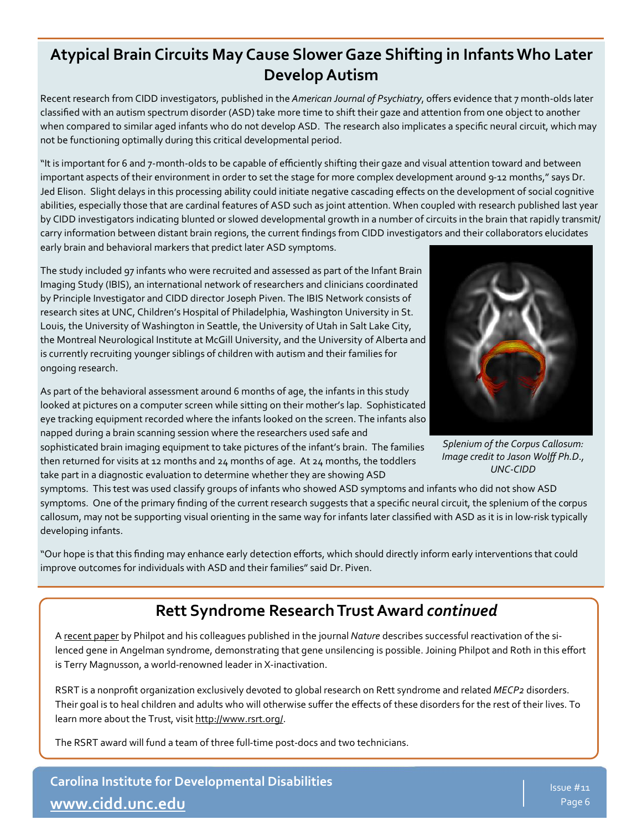#### **Atypical Brain Circuits May Cause Slower Gaze Shifting in Infants Who Later Develop Autism**

Recent research from CIDD investigators, published in the *American Journal of Psychiatry*, offers evidence that 7 month-olds later classified with an autism spectrum disorder (ASD) take more time to shift their gaze and attention from one object to another when compared to similar aged infants who do not develop ASD. The research also implicates a specific neural circuit, which may not be functioning optimally during this critical developmental period.

"It is important for 6 and 7-month-olds to be capable of efficiently shifting their gaze and visual attention toward and between important aspects of their environment in order to set the stage for more complex development around 9-12 months," says Dr. Jed Elison. Slight delays in this processing ability could initiate negative cascading effects on the development of social cognitive abilities, especially those that are cardinal features of ASD such as joint attention. When coupled with research published last year by CIDD investigators indicating blunted or slowed developmental growth in a number of circuits in the brain that rapidly transmit/ carry information between distant brain regions, the current findings from CIDD investigators and their collaborators elucidates early brain and behavioral markers that predict later ASD symptoms.

The study included 97 infants who were recruited and assessed as part of the Infant Brain Imaging Study (IBIS), an international network of researchers and clinicians coordinated by Principle Investigator and CIDD director Joseph Piven. The IBIS Network consists of research sites at UNC, Children's Hospital of Philadelphia, Washington University in St. Louis, the University of Washington in Seattle, the University of Utah in Salt Lake City, the Montreal Neurological Institute at McGill University, and the University of Alberta and is currently recruiting younger siblings of children with autism and their families for ongoing research.

As part of the behavioral assessment around 6 months of age, the infants in this study looked at pictures on a computer screen while sitting on their mother's lap. Sophisticated eye tracking equipment recorded where the infants looked on the screen. The infants also napped during a brain scanning session where the researchers used safe and

sophisticated brain imaging equipment to take pictures of the infant's brain. The families then returned for visits at 12 months and 24 months of age. At 24 months, the toddlers take part in a diagnostic evaluation to determine whether they are showing ASD



*Splenium of the Corpus Callosum: Image credit to Jason Wolff Ph.D., UNC-CIDD*

symptoms. This test was used classify groups of infants who showed ASD symptoms and infants who did not show ASD symptoms. One of the primary finding of the current research suggests that a specific neural circuit, the splenium of the corpus callosum, may not be supporting visual orienting in the same way for infants later classified with ASD as it is in low-risk typically developing infants.

"Our hope is that this finding may enhance early detection efforts, which should directly inform early interventions that could improve outcomes for individuals with ASD and their families" said Dr. Piven.

#### **Rett Syndrome Research Trust Award** *continued*

A [recent paper](http://news.unchealthcare.org/news/2011/december/unc-study-could-lead-to-a-treatment-for-angelman-syndrome) by Philpot and his colleagues published in the journal *Nature* describes successful reactivation of the silenced gene in Angelman syndrome, demonstrating that gene unsilencing is possible. Joining Philpot and Roth in this effort is Terry Magnusson, a world-renowned leader in X-inactivation.

RSRT is a nonprofit organization exclusively devoted to global research on Rett syndrome and related *MECP2* disorders. Their goal is to heal children and adults who will otherwise suffer the effects of these disorders for the rest of their lives. To learn more about the Trust, visit [http://www.rsrt.org/.](http://www.rsrt.org/)

The RSRT award will fund a team of three full-time post-docs and two technicians.

**Carolina Institute for Developmental Disabilities [www.cidd.unc.edu](http://www.cidd.unc.edu/)**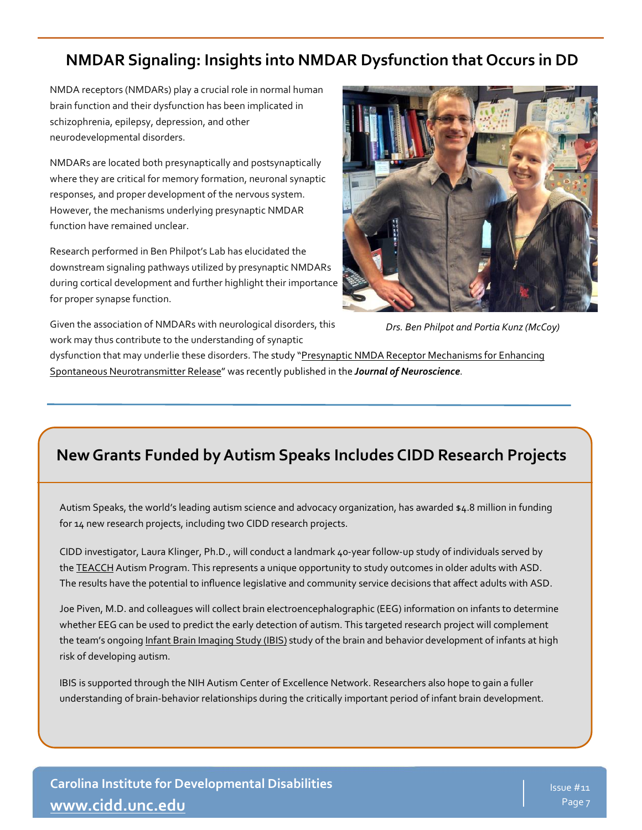#### **NMDAR Signaling: Insights into NMDAR Dysfunction that Occurs in DD**

NMDA receptors (NMDARs) play a crucial role in normal human brain function and their dysfunction has been implicated in schizophrenia, epilepsy, depression, and other neurodevelopmental disorders.

NMDARs are located both presynaptically and postsynaptically where they are critical for memory formation, neuronal synaptic responses, and proper development of the nervous system. However, the mechanisms underlying presynaptic NMDAR function have remained unclear.

Research performed in Ben Philpot's Lab has elucidated the downstream signaling pathways utilized by presynaptic NMDARs during cortical development and further highlight their importance for proper synapse function.

Given the association of NMDARs with neurological disorders, this work may thus contribute to the understanding of synaptic



*Drs. Ben Philpot and Portia Kunz (McCoy)* 

dysfunction that may underlie these disorders. The study "Presynaptic NMDA Receptor Mechanisms for Enhancing [Spontaneous Neurotransmitter Release"](http://www.jneurosci.org/content/33/18/7762.abstract) was recently published in the *Journal of Neuroscience*.

#### **New Grants Funded by Autism Speaks Includes CIDD Research Projects**

Autism Speaks, the world's leading autism science and advocacy organization, has awarded \$4.8 million in funding for 14 new research projects, including two CIDD research projects.

CIDD investigator, Laura Klinger, Ph.D., will conduct a landmark 40-year follow-up study of individuals served by the **[TEACCH](http://www.autismspeaks.org/what-autism/treatment/training-and-education-autistic-and-related-communication-handicapped-children)** Autism Program. This represents a unique opportunity to study outcomes in older adults with ASD. The results have the potential to influence legislative and community service decisions that affect adults with ASD.

Joe Piven, M.D. and colleagues will collect brain electroencephalographic (EEG) information on infants to determine whether EEG can be used to predict the early detection of autism. This targeted research project will complement the team's ongoing [Infant Brain Imaging Study \(IBIS\)](http://www.autismspeaks.org/science/grants/ibis-earli-collaboration) study of the brain and behavior development of infants at high risk of developing autism.

IBIS is supported through the NIH Autism Center of Excellence Network. Researchers also hope to gain a fuller understanding of brain-behavior relationships during the critically important period of infant brain development.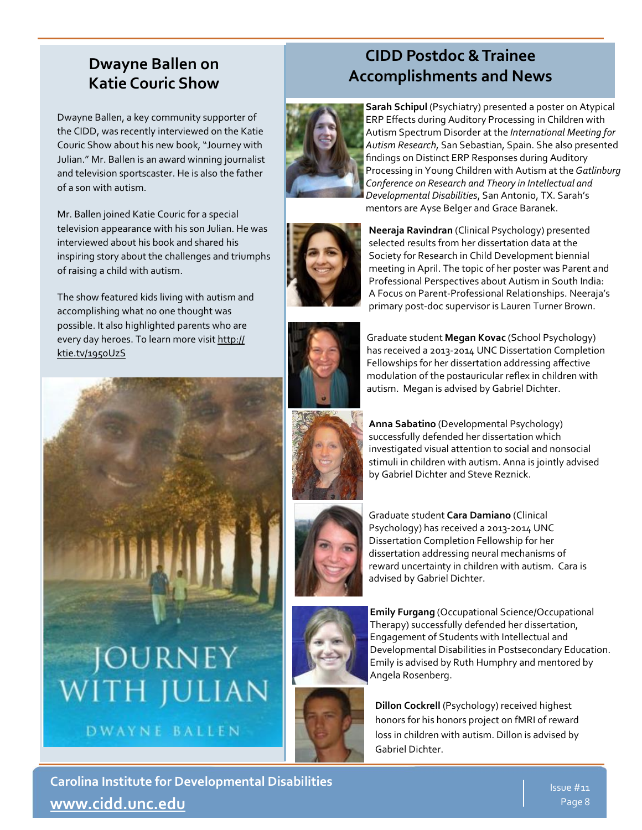#### **Dwayne Ballen on Katie Couric Show**

Dwayne Ballen, a key community supporter of the CIDD, was recently interviewed on the Katie Couric Show about his new book, "Journey with Julian." Mr. Ballen is an award winning journalist and television sportscaster. He is also the father of a son with autism.

Mr. Ballen joined Katie Couric for a special television appearance with his son Julian. He was interviewed about his book and shared his inspiring story about the challenges and triumphs of raising a child with autism.

The show featured kids living with autism and accomplishing what no one thought was possible. It also highlighted parents who are every day heroes. To learn more visit [http://](http://ktie.tv/1950UzS) [ktie.tv/1950UzS](http://ktie.tv/1950UzS)



DWAYNE BALLEN

# **CIDD Postdoc & Trainee Accomplishments and News**



**Sarah Schipul** (Psychiatry) presented a poster on Atypical ERP Effects during Auditory Processing in Children with Autism Spectrum Disorder at the *International Meeting for Autism Research*, San Sebastian, Spain. She also presented findings on Distinct ERP Responses during Auditory Processing in Young Children with Autism at the *Gatlinburg Conference on Research and Theory in Intellectual and Developmental Disabilities*, San Antonio, TX. Sarah's mentors are Ayse Belger and Grace Baranek.



**Neeraja Ravindran** (Clinical Psychology) presented selected results from her dissertation data at the Society for Research in Child Development biennial meeting in April. The topic of her poster was Parent and Professional Perspectives about Autism in South India: A Focus on Parent-Professional Relationships. Neeraja's primary post-doc supervisor is Lauren Turner Brown.



Graduate student **Megan Kovac** (School Psychology) has received a 2013-2014 UNC Dissertation Completion Fellowships for her dissertation addressing affective modulation of the postauricular reflex in children with autism. Megan is advised by Gabriel Dichter.



**Anna Sabatino** (Developmental Psychology) successfully defended her dissertation which investigated visual attention to social and nonsocial stimuli in children with autism. Anna is jointly advised by Gabriel Dichter and Steve Reznick.



Graduate student **Cara Damiano** (Clinical Psychology) has received a 2013-2014 UNC Dissertation Completion Fellowship for her dissertation addressing neural mechanisms of reward uncertainty in children with autism. Cara is advised by Gabriel Dichter.



**Emily Furgang** (Occupational Science/Occupational Therapy) successfully defended her dissertation, Engagement of Students with Intellectual and Developmental Disabilities in Postsecondary Education. Emily is advised by Ruth Humphry and mentored by Angela Rosenberg.



**Dillon Cockrell** (Psychology) received highest honors for his honors project on fMRI of reward loss in children with autism. Dillon is advised by Gabriel Dichter.

**Carolina Institute for Developmental Disabilities [www.cidd.unc.edu](http://www.cidd.unc.edu/)**

Issue #11 Page 8